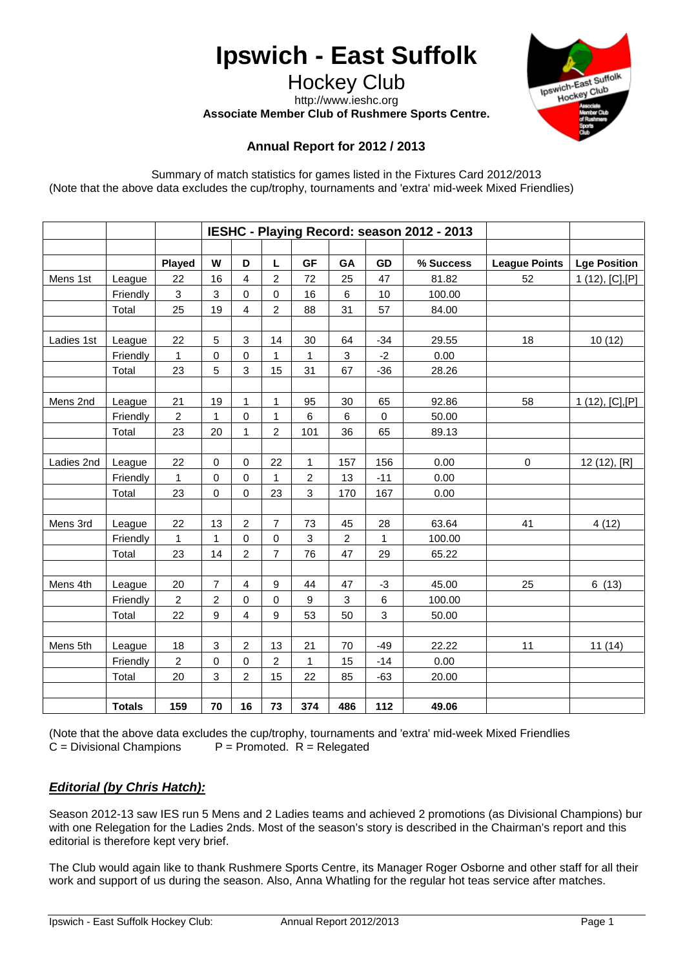# **Ipswich - East Suffolk**

Hockey Club http://www.ieshc.org

**Associate Member Club of Rushmere Sports Centre.**



# **Annual Report for 2012 / 2013**

Summary of match statistics for games listed in the Fixtures Card 2012/2013 (Note that the above data excludes the cup/trophy, tournaments and 'extra' mid-week Mixed Friendlies)

|            |               | IESHC - Playing Record: season 2012 - 2013 |                           |                         |                  |                |                           |       |           |                      |                     |
|------------|---------------|--------------------------------------------|---------------------------|-------------------------|------------------|----------------|---------------------------|-------|-----------|----------------------|---------------------|
|            |               |                                            |                           |                         |                  |                |                           |       |           |                      |                     |
|            |               | Played                                     | W                         | D                       | L                | <b>GF</b>      | GA                        | GD    | % Success | <b>League Points</b> | <b>Lge Position</b> |
| Mens 1st   | League        | 22                                         | 16                        | 4                       | $\overline{2}$   | 72             | 25                        | 47    | 81.82     | 52                   | 1 (12), [C], [P]    |
|            | Friendly      | 3                                          | 3                         | 0                       | $\pmb{0}$        | 16             | 6                         | 10    | 100.00    |                      |                     |
|            | Total         | 25                                         | 19                        | 4                       | $\overline{c}$   | 88             | 31                        | 57    | 84.00     |                      |                     |
|            |               |                                            |                           |                         |                  |                |                           |       |           |                      |                     |
| Ladies 1st | League        | 22                                         | 5                         | 3                       | 14               | 30             | 64                        | $-34$ | 29.55     | 18                   | 10(12)              |
|            | Friendly      | $\mathbf{1}$                               | 0                         | $\pmb{0}$               | 1                | 1              | $\ensuremath{\mathsf{3}}$ | $-2$  | 0.00      |                      |                     |
|            | Total         | 23                                         | 5                         | 3                       | 15               | 31             | 67                        | $-36$ | 28.26     |                      |                     |
| Mens 2nd   | League        | 21                                         | 19                        | 1                       | 1                | 95             | 30                        | 65    | 92.86     | 58                   | 1 $(12), [C], [P]$  |
|            | Friendly      | $\overline{c}$                             | 1                         | $\mathbf 0$             | 1                | 6              | 6                         | 0     | 50.00     |                      |                     |
|            |               |                                            | 20                        | $\mathbf{1}$            | $\overline{c}$   | 101            | 36                        |       |           |                      |                     |
|            | Total         | 23                                         |                           |                         |                  |                |                           | 65    | 89.13     |                      |                     |
| Ladies 2nd | League        | 22                                         | $\mathbf 0$               | $\pmb{0}$               | 22               | $\mathbf{1}$   | 157                       | 156   | 0.00      | $\mathbf 0$          | 12 (12), [R]        |
|            | Friendly      | 1                                          | $\mathbf 0$               | 0                       | 1                | $\overline{c}$ | 13                        | $-11$ | 0.00      |                      |                     |
|            | Total         | 23                                         | $\mathbf 0$               | $\mathbf 0$             | 23               | 3              | 170                       | 167   | 0.00      |                      |                     |
|            |               |                                            |                           |                         |                  |                |                           |       |           |                      |                     |
| Mens 3rd   | League        | 22                                         | 13                        | $\overline{c}$          | $\overline{7}$   | 73             | 45                        | 28    | 63.64     | 41                   | 4(12)               |
|            | Friendly      | 1                                          | 1                         | $\mathbf 0$             | 0                | 3              | $\overline{c}$            | 1     | 100.00    |                      |                     |
|            | Total         | 23                                         | 14                        | $\overline{c}$          | $\overline{7}$   | 76             | 47                        | 29    | 65.22     |                      |                     |
|            |               |                                            |                           |                         |                  |                |                           |       |           |                      |                     |
| Mens 4th   | League        | 20                                         | $\overline{7}$            | $\overline{\mathbf{4}}$ | $\boldsymbol{9}$ | 44             | 47                        | $-3$  | 45.00     | 25                   | 6(13)               |
|            | Friendly      | $\overline{c}$                             | $\overline{c}$            | 0                       | 0                | 9              | 3                         | 6     | 100.00    |                      |                     |
|            | Total         | 22                                         | 9                         | 4                       | $\boldsymbol{9}$ | 53             | 50                        | 3     | 50.00     |                      |                     |
| Mens 5th   | League        | 18                                         | $\ensuremath{\mathsf{3}}$ | $\overline{c}$          | 13               | 21             | 70                        | $-49$ | 22.22     | 11                   | 11(14)              |
|            | Friendly      | $\boldsymbol{2}$                           | $\mathbf 0$               | 0                       | $\overline{c}$   | $\mathbf{1}$   | 15                        | $-14$ | 0.00      |                      |                     |
|            | Total         | 20                                         | 3                         | $\overline{2}$          | 15               | 22             | 85                        | $-63$ | 20.00     |                      |                     |
|            |               |                                            |                           |                         |                  |                |                           |       |           |                      |                     |
|            | <b>Totals</b> | 159                                        | 70                        | 16                      | 73               | 374            | 486                       | 112   | 49.06     |                      |                     |

(Note that the above data excludes the cup/trophy, tournaments and 'extra' mid-week Mixed Friendlies  $C = Divisional$  Champions  $P = Promoted$ .  $R = Relegated$  $P =$  Promoted.  $R =$  Relegated

# *Editorial (by Chris Hatch):*

Season 2012-13 saw IES run 5 Mens and 2 Ladies teams and achieved 2 promotions (as Divisional Champions) bur with one Relegation for the Ladies 2nds. Most of the season's story is described in the Chairman's report and this editorial is therefore kept very brief.

The Club would again like to thank Rushmere Sports Centre, its Manager Roger Osborne and other staff for all their work and support of us during the season. Also, Anna Whatling for the regular hot teas service after matches.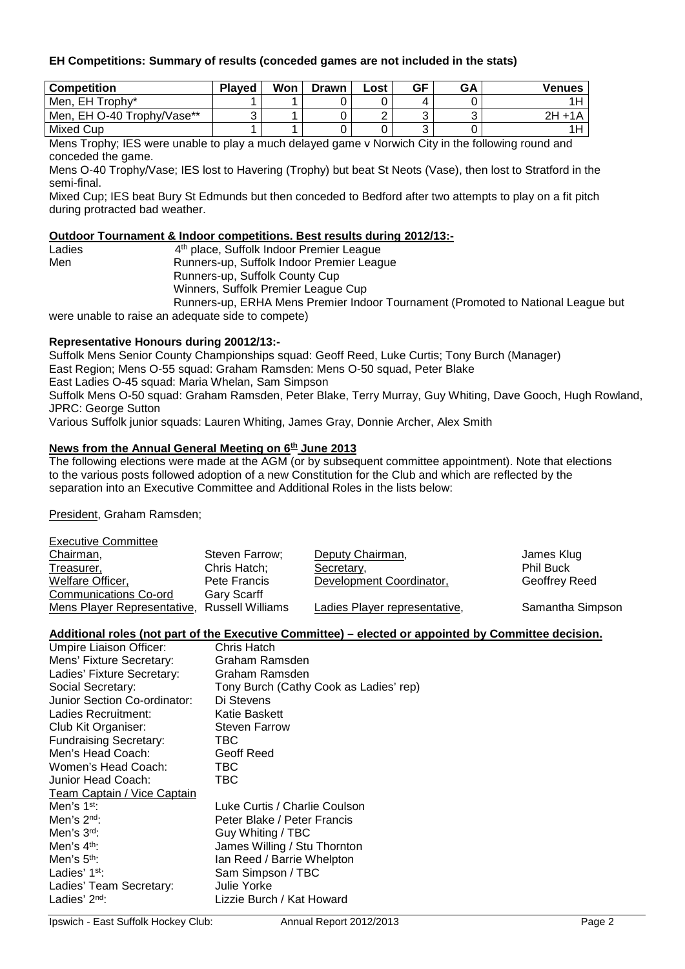## **EH Competitions: Summary of results (conceded games are not included in the stats)**

| <b>Competition</b>         | <b>Plaved</b> | Won | <b>Drawn</b> | ∟ost | GF     | <b>GA</b> | Venues    |
|----------------------------|---------------|-----|--------------|------|--------|-----------|-----------|
| Men, EH Trophy*            |               |     |              |      |        |           |           |
| Men, EH O-40 Trophy/Vase** |               |     |              | ◠    | ັ      |           | $2H + 1A$ |
| <b>Mixed Cup</b>           |               |     |              |      | ╭<br>ບ |           |           |

Mens Trophy; IES were unable to play a much delayed game v Norwich City in the following round and conceded the game.

Mens O-40 Trophy/Vase; IES lost to Havering (Trophy) but beat St Neots (Vase), then lost to Stratford in the semi-final.

Mixed Cup; IES beat Bury St Edmunds but then conceded to Bedford after two attempts to play on a fit pitch during protracted bad weather.

#### **Outdoor Tournament & Indoor competitions. Best results during 2012/13:-**

| Ladies | 4 <sup>th</sup> place, Suffolk Indoor Premier League                             |
|--------|----------------------------------------------------------------------------------|
| Men    | Runners-up, Suffolk Indoor Premier League                                        |
|        | Runners-up, Suffolk County Cup                                                   |
|        | Winners, Suffolk Premier League Cup                                              |
|        | Runners-up, ERHA Mens Premier Indoor Tournament (Promoted to National League but |

were unable to raise an adequate side to compete)

#### **Representative Honours during 20012/13:-**

Suffolk Mens Senior County Championships squad: Geoff Reed, Luke Curtis; Tony Burch (Manager) East Region; Mens O-55 squad: Graham Ramsden: Mens O-50 squad, Peter Blake East Ladies O-45 squad: Maria Whelan, Sam Simpson

Suffolk Mens O-50 squad: Graham Ramsden, Peter Blake, Terry Murray, Guy Whiting, Dave Gooch, Hugh Rowland, JPRC: George Sutton

Various Suffolk junior squads: Lauren Whiting, James Gray, Donnie Archer, Alex Smith

#### **News from the Annual General Meeting on 6th June 2013**

The following elections were made at the AGM (or by subsequent committee appointment). Note that elections to the various posts followed adoption of a new Constitution for the Club and which are reflected by the separation into an Executive Committee and Additional Roles in the lists below:

President, Graham Ramsden;

| <b>Executive Committee</b>  |                         |                               |                  |
|-----------------------------|-------------------------|-------------------------------|------------------|
| Chairman,                   | Steven Farrow;          | Deputy Chairman,              | James Klug       |
| Treasurer,                  | Chris Hatch;            | Secretary,                    | <b>Phil Buck</b> |
| Welfare Officer,            | Pete Francis            | Development Coordinator,      | Geoffrey Reed    |
| Communications Co-ord       | <b>Gary Scarff</b>      |                               |                  |
| Mens Player Representative, | <b>Russell Williams</b> | Ladies Player representative, | Samantha Simpson |

#### **Additional roles (not part of the Executive Committee) – elected or appointed by Committee decision.**

| Umpire Liaison Officer:       | Chris Hatch                            |
|-------------------------------|----------------------------------------|
| Mens' Fixture Secretary:      | Graham Ramsden                         |
| Ladies' Fixture Secretary:    | Graham Ramsden                         |
| Social Secretary:             | Tony Burch (Cathy Cook as Ladies' rep) |
| Junior Section Co-ordinator:  | Di Stevens                             |
| Ladies Recruitment:           | Katie Baskett                          |
| Club Kit Organiser:           | <b>Steven Farrow</b>                   |
| <b>Fundraising Secretary:</b> | TBC                                    |
| Men's Head Coach:             | Geoff Reed                             |
| Women's Head Coach:           | TBC                                    |
| Junior Head Coach:            | TBC                                    |
| Team Captain / Vice Captain   |                                        |
| Men's $1st$ :                 | Luke Curtis / Charlie Coulson          |
| Men's $2nd$ :                 | Peter Blake / Peter Francis            |
| Men's $3rd$ :                 | Guy Whiting / TBC                      |
| Men's $4th$ :                 | James Willing / Stu Thornton           |
| Men's $5th$ :                 | Ian Reed / Barrie Whelpton             |
| Ladies' $1st$ :               | Sam Simpson / TBC                      |
| Ladies' Team Secretary:       | <b>Julie Yorke</b>                     |
| Ladies' $2nd$ :               | Lizzie Burch / Kat Howard              |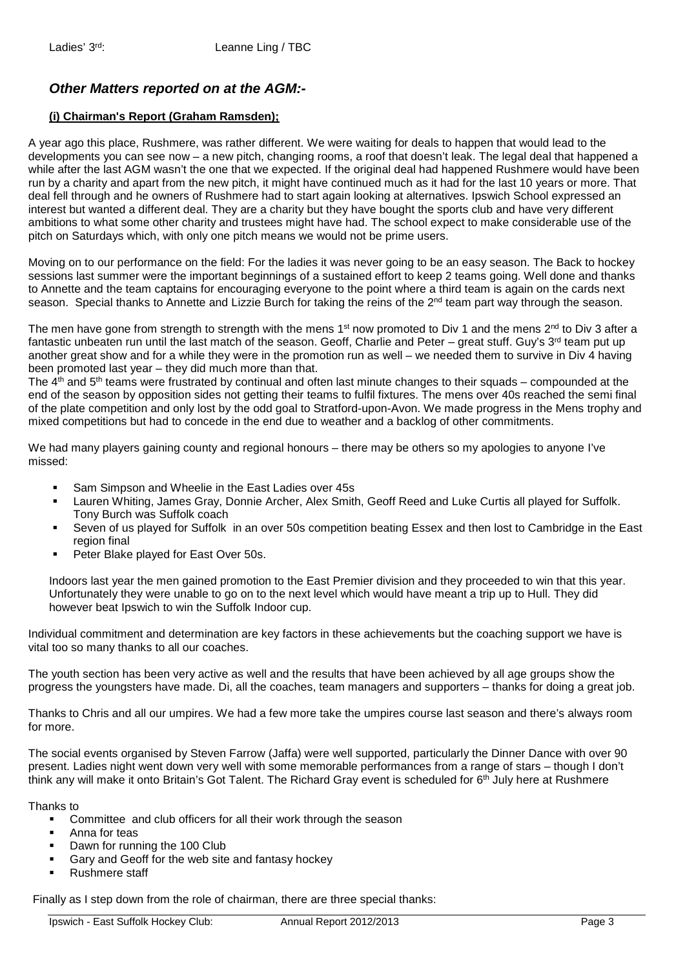# *Other Matters reported on at the AGM:-*

# **(i) Chairman's Report (Graham Ramsden);**

A year ago this place, Rushmere, was rather different. We were waiting for deals to happen that would lead to the developments you can see now – a new pitch, changing rooms, a roof that doesn't leak. The legal deal that happened a while after the last AGM wasn't the one that we expected. If the original deal had happened Rushmere would have been run by a charity and apart from the new pitch, it might have continued much as it had for the last 10 years or more. That deal fell through and he owners of Rushmere had to start again looking at alternatives. Ipswich School expressed an interest but wanted a different deal. They are a charity but they have bought the sports club and have very different ambitions to what some other charity and trustees might have had. The school expect to make considerable use of the pitch on Saturdays which, with only one pitch means we would not be prime users.

Moving on to our performance on the field: For the ladies it was never going to be an easy season. The Back to hockey sessions last summer were the important beginnings of a sustained effort to keep 2 teams going. Well done and thanks to Annette and the team captains for encouraging everyone to the point where a third team is again on the cards next season. Special thanks to Annette and Lizzie Burch for taking the reins of the 2<sup>nd</sup> team part way through the season.

The men have gone from strength to strength with the mens 1<sup>st</sup> now promoted to Div 1 and the mens 2<sup>nd</sup> to Div 3 after a fantastic unbeaten run until the last match of the season. Geoff, Charlie and Peter – great stuff. Guy's  $3<sup>rd</sup>$  team put up another great show and for a while they were in the promotion run as well – we needed them to survive in Div 4 having been promoted last year – they did much more than that.

The  $4<sup>th</sup>$  and  $5<sup>th</sup>$  teams were frustrated by continual and often last minute changes to their squads – compounded at the end of the season by opposition sides not getting their teams to fulfil fixtures. The mens over 40s reached the semi final of the plate competition and only lost by the odd goal to Stratford-upon-Avon. We made progress in the Mens trophy and mixed competitions but had to concede in the end due to weather and a backlog of other commitments.

We had many players gaining county and regional honours – there may be others so my apologies to anyone I've missed:

- Sam Simpson and Wheelie in the East Ladies over 45s
- Lauren Whiting, James Gray, Donnie Archer, Alex Smith, Geoff Reed and Luke Curtis all played for Suffolk. Tony Burch was Suffolk coach
- Seven of us played for Suffolk in an over 50s competition beating Essex and then lost to Cambridge in the East region final
- **Peter Blake played for East Over 50s.**

Indoors last year the men gained promotion to the East Premier division and they proceeded to win that this year. Unfortunately they were unable to go on to the next level which would have meant a trip up to Hull. They did however beat Ipswich to win the Suffolk Indoor cup.

Individual commitment and determination are key factors in these achievements but the coaching support we have is vital too so many thanks to all our coaches.

The youth section has been very active as well and the results that have been achieved by all age groups show the progress the youngsters have made. Di, all the coaches, team managers and supporters – thanks for doing a great job.

Thanks to Chris and all our umpires. We had a few more take the umpires course last season and there's always room for more.

The social events organised by Steven Farrow (Jaffa) were well supported, particularly the Dinner Dance with over 90 present. Ladies night went down very well with some memorable performances from a range of stars – though I don't think any will make it onto Britain's Got Talent. The Richard Gray event is scheduled for 6<sup>th</sup> July here at Rushmere

Thanks to

- **EXECOMMITE And CONDET COMMIT COMMITM** Committee and club officers for all their work through the season
- Anna for teas
- Dawn for running the 100 Club
- Gary and Geoff for the web site and fantasy hockey
- Rushmere staff

Finally as I step down from the role of chairman, there are three special thanks: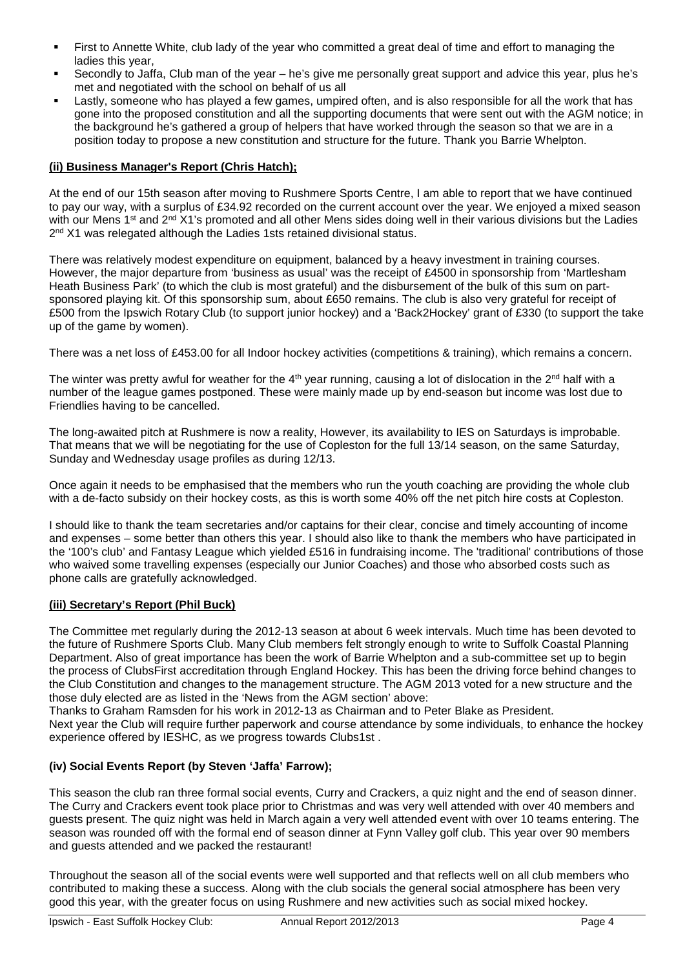- First to Annette White, club lady of the year who committed a great deal of time and effort to managing the ladies this year,
- Secondly to Jaffa, Club man of the year he's give me personally great support and advice this year, plus he's met and negotiated with the school on behalf of us all
- Lastly, someone who has played a few games, umpired often, and is also responsible for all the work that has gone into the proposed constitution and all the supporting documents that were sent out with the AGM notice; in the background he's gathered a group of helpers that have worked through the season so that we are in a position today to propose a new constitution and structure for the future. Thank you Barrie Whelpton.

# **(ii) Business Manager's Report (Chris Hatch);**

At the end of our 15th season after moving to Rushmere Sports Centre, I am able to report that we have continued to pay our way, with a surplus of £34.92 recorded on the current account over the year. We enjoyed a mixed season with our Mens 1<sup>st</sup> and 2<sup>nd</sup> X1's promoted and all other Mens sides doing well in their various divisions but the Ladies 2<sup>nd</sup> X1 was relegated although the Ladies 1sts retained divisional status.

There was relatively modest expenditure on equipment, balanced by a heavy investment in training courses. However, the major departure from 'business as usual' was the receipt of £4500 in sponsorship from 'Martlesham Heath Business Park' (to which the club is most grateful) and the disbursement of the bulk of this sum on partsponsored playing kit. Of this sponsorship sum, about £650 remains. The club is also very grateful for receipt of £500 from the Ipswich Rotary Club (to support junior hockey) and a 'Back2Hockey' grant of £330 (to support the take up of the game by women).

There was a net loss of £453.00 for all Indoor hockey activities (competitions & training), which remains a concern.

The winter was pretty awful for weather for the 4<sup>th</sup> year running, causing a lot of dislocation in the  $2^{nd}$  half with a number of the league games postponed. These were mainly made up by end-season but income was lost due to Friendlies having to be cancelled.

The long-awaited pitch at Rushmere is now a reality, However, its availability to IES on Saturdays is improbable. That means that we will be negotiating for the use of Copleston for the full 13/14 season, on the same Saturday, Sunday and Wednesday usage profiles as during 12/13.

Once again it needs to be emphasised that the members who run the youth coaching are providing the whole club with a de-facto subsidy on their hockey costs, as this is worth some 40% off the net pitch hire costs at Copleston.

I should like to thank the team secretaries and/or captains for their clear, concise and timely accounting of income and expenses – some better than others this year. I should also like to thank the members who have participated in the '100's club' and Fantasy League which yielded £516 in fundraising income. The 'traditional' contributions of those who waived some travelling expenses (especially our Junior Coaches) and those who absorbed costs such as phone calls are gratefully acknowledged.

# **(iii) Secretary's Report (Phil Buck)**

The Committee met regularly during the 2012-13 season at about 6 week intervals. Much time has been devoted to the future of Rushmere Sports Club. Many Club members felt strongly enough to write to Suffolk Coastal Planning Department. Also of great importance has been the work of Barrie Whelpton and a sub-committee set up to begin the process of ClubsFirst accreditation through England Hockey. This has been the driving force behind changes to the Club Constitution and changes to the management structure. The AGM 2013 voted for a new structure and the those duly elected are as listed in the 'News from the AGM section' above:

Thanks to Graham Ramsden for his work in 2012-13 as Chairman and to Peter Blake as President.

Next year the Club will require further paperwork and course attendance by some individuals, to enhance the hockey experience offered by IESHC, as we progress towards Clubs1st .

# **(iv) Social Events Report (by Steven 'Jaffa' Farrow);**

This season the club ran three formal social events, Curry and Crackers, a quiz night and the end of season dinner. The Curry and Crackers event took place prior to Christmas and was very well attended with over 40 members and guests present. The quiz night was held in March again a very well attended event with over 10 teams entering. The season was rounded off with the formal end of season dinner at Fynn Valley golf club. This year over 90 members and guests attended and we packed the restaurant!

Throughout the season all of the social events were well supported and that reflects well on all club members who contributed to making these a success. Along with the club socials the general social atmosphere has been very good this year, with the greater focus on using Rushmere and new activities such as social mixed hockey.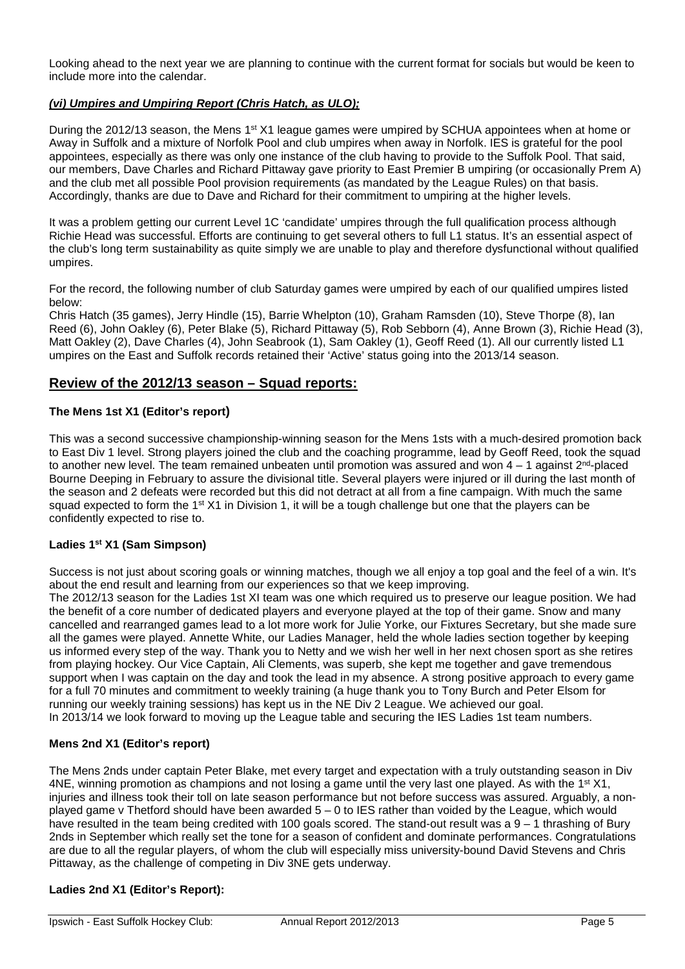Looking ahead to the next year we are planning to continue with the current format for socials but would be keen to include more into the calendar.

# *(vi) Umpires and Umpiring Report (Chris Hatch, as ULO);*

During the 2012/13 season, the Mens 1<sup>st</sup> X1 league games were umpired by SCHUA appointees when at home or Away in Suffolk and a mixture of Norfolk Pool and club umpires when away in Norfolk. IES is grateful for the pool appointees, especially as there was only one instance of the club having to provide to the Suffolk Pool. That said, our members, Dave Charles and Richard Pittaway gave priority to East Premier B umpiring (or occasionally Prem A) and the club met all possible Pool provision requirements (as mandated by the League Rules) on that basis. Accordingly, thanks are due to Dave and Richard for their commitment to umpiring at the higher levels.

It was a problem getting our current Level 1C 'candidate' umpires through the full qualification process although Richie Head was successful. Efforts are continuing to get several others to full L1 status. It's an essential aspect of the club's long term sustainability as quite simply we are unable to play and therefore dysfunctional without qualified umpires.

For the record, the following number of club Saturday games were umpired by each of our qualified umpires listed below:

Chris Hatch (35 games), Jerry Hindle (15), Barrie Whelpton (10), Graham Ramsden (10), Steve Thorpe (8), Ian Reed (6), John Oakley (6), Peter Blake (5), Richard Pittaway (5), Rob Sebborn (4), Anne Brown (3), Richie Head (3), Matt Oakley (2), Dave Charles (4), John Seabrook (1), Sam Oakley (1), Geoff Reed (1). All our currently listed L1 umpires on the East and Suffolk records retained their 'Active' status going into the 2013/14 season.

# **Review of the 2012/13 season – Squad reports:**

# **The Mens 1st X1 (Editor's report)**

This was a second successive championship-winning season for the Mens 1sts with a much-desired promotion back to East Div 1 level. Strong players joined the club and the coaching programme, lead by Geoff Reed, took the squad to another new level. The team remained unbeaten until promotion was assured and won  $4 - 1$  against  $2^{nd}$ -placed Bourne Deeping in February to assure the divisional title. Several players were injured or ill during the last month of the season and 2 defeats were recorded but this did not detract at all from a fine campaign. With much the same squad expected to form the 1<sup>st</sup> X1 in Division 1, it will be a tough challenge but one that the players can be confidently expected to rise to.

#### **Ladies 1st X1 (Sam Simpson)**

Success is not just about scoring goals or winning matches, though we all enjoy a top goal and the feel of a win. It's about the end result and learning from our experiences so that we keep improving.

The 2012/13 season for the Ladies 1st XI team was one which required us to preserve our league position. We had the benefit of a core number of dedicated players and everyone played at the top of their game. Snow and many cancelled and rearranged games lead to a lot more work for Julie Yorke, our Fixtures Secretary, but she made sure all the games were played. Annette White, our Ladies Manager, held the whole ladies section together by keeping us informed every step of the way. Thank you to Netty and we wish her well in her next chosen sport as she retires from playing hockey. Our Vice Captain, Ali Clements, was superb, she kept me together and gave tremendous support when I was captain on the day and took the lead in my absence. A strong positive approach to every game for a full 70 minutes and commitment to weekly training (a huge thank you to Tony Burch and Peter Elsom for running our weekly training sessions) has kept us in the NE Div 2 League. We achieved our goal. In 2013/14 we look forward to moving up the League table and securing the IES Ladies 1st team numbers.

#### **Mens 2nd X1 (Editor's report)**

The Mens 2nds under captain Peter Blake, met every target and expectation with a truly outstanding season in Div 4NE, winning promotion as champions and not losing a game until the very last one played. As with the 1<sup>st</sup> X1, injuries and illness took their toll on late season performance but not before success was assured. Arguably, a nonplayed game v Thetford should have been awarded  $5 - 0$  to IES rather than voided by the League, which would have resulted in the team being credited with 100 goals scored. The stand-out result was a 9 – 1 thrashing of Bury 2nds in September which really set the tone for a season of confident and dominate performances. Congratulations are due to all the regular players, of whom the club will especially miss university-bound David Stevens and Chris Pittaway, as the challenge of competing in Div 3NE gets underway.

#### **Ladies 2nd X1 (Editor's Report):**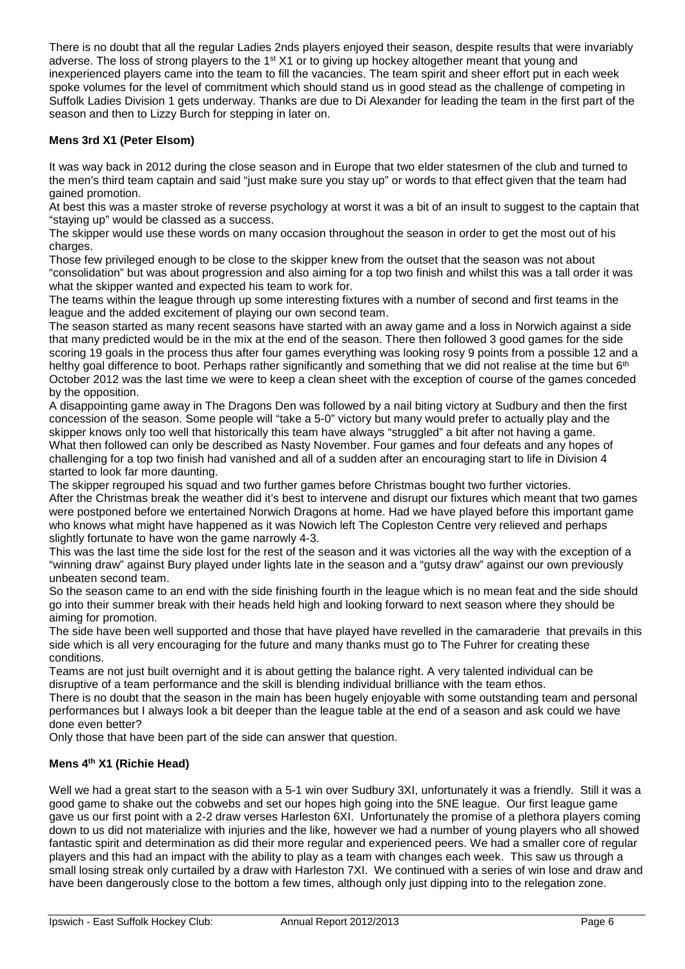There is no doubt that all the regular Ladies 2nds players enjoyed their season, despite results that were invariably adverse. The loss of strong players to the  $1<sup>st</sup> X1$  or to giving up hockey altogether meant that young and inexperienced players came into the team to fill the vacancies. The team spirit and sheer effort put in each week spoke volumes for the level of commitment which should stand us in good stead as the challenge of competing in Suffolk Ladies Division 1 gets underway. Thanks are due to Di Alexander for leading the team in the first part of the season and then to Lizzy Burch for stepping in later on.

# **Mens 3rd X1 (Peter Elsom)**

It was way back in 2012 during the close season and in Europe that two elder statesmen of the club and turned to the men's third team captain and said "just make sure you stay up" or words to that effect given that the team had gained promotion.

At best this was a master stroke of reverse psychology at worst it was a bit of an insult to suggest to the captain that "staying up" would be classed as a success.

The skipper would use these words on many occasion throughout the season in order to get the most out of his charges.

Those few privileged enough to be close to the skipper knew from the outset that the season was not about "consolidation" but was about progression and also aiming for a top two finish and whilst this was a tall order it was what the skipper wanted and expected his team to work for.

The teams within the league through up some interesting fixtures with a number of second and first teams in the league and the added excitement of playing our own second team.

The season started as many recent seasons have started with an away game and a loss in Norwich against a side that many predicted would be in the mix at the end of the season. There then followed 3 good games for the side scoring 19 goals in the process thus after four games everything was looking rosy 9 points from a possible 12 and a helthy goal difference to boot. Perhaps rather significantly and something that we did not realise at the time but 6<sup>th</sup> October 2012 was the last time we were to keep a clean sheet with the exception of course of the games conceded by the opposition.

A disappointing game away in The Dragons Den was followed by a nail biting victory at Sudbury and then the first concession of the season. Some people will "take a 5-0" victory but many would prefer to actually play and the skipper knows only too well that historically this team have always "struggled" a bit after not having a game. What then followed can only be described as Nasty November. Four games and four defeats and any hopes of challenging for a top two finish had vanished and all of a sudden after an encouraging start to life in Division 4 started to look far more daunting.

The skipper regrouped his squad and two further games before Christmas bought two further victories. After the Christmas break the weather did it's best to intervene and disrupt our fixtures which meant that two games were postponed before we entertained Norwich Dragons at home. Had we have played before this important game who knows what might have happened as it was Nowich left The Copleston Centre very relieved and perhaps slightly fortunate to have won the game narrowly 4-3.

This was the last time the side lost for the rest of the season and it was victories all the way with the exception of a "winning draw" against Bury played under lights late in the season and a "gutsy draw" against our own previously unbeaten second team.

So the season came to an end with the side finishing fourth in the league which is no mean feat and the side should go into their summer break with their heads held high and looking forward to next season where they should be aiming for promotion.

The side have been well supported and those that have played have revelled in the camaraderie that prevails in this side which is all very encouraging for the future and many thanks must go to The Fuhrer for creating these conditions.

Teams are not just built overnight and it is about getting the balance right. A very talented individual can be disruptive of a team performance and the skill is blending individual brilliance with the team ethos.

There is no doubt that the season in the main has been hugely enjoyable with some outstanding team and personal performances but I always look a bit deeper than the league table at the end of a season and ask could we have done even better?

Only those that have been part of the side can answer that question.

# **Mens 4th X1 (Richie Head)**

Well we had a great start to the season with a 5-1 win over Sudbury 3XI, unfortunately it was a friendly. Still it was a good game to shake out the cobwebs and set our hopes high going into the 5NE league. Our first league game gave us our first point with a 2-2 draw verses Harleston 6XI. Unfortunately the promise of a plethora players coming down to us did not materialize with injuries and the like, however we had a number of young players who all showed fantastic spirit and determination as did their more regular and experienced peers. We had a smaller core of regular players and this had an impact with the ability to play as a team with changes each week. This saw us through a small losing streak only curtailed by a draw with Harleston 7XI. We continued with a series of win lose and draw and have been dangerously close to the bottom a few times, although only just dipping into to the relegation zone.